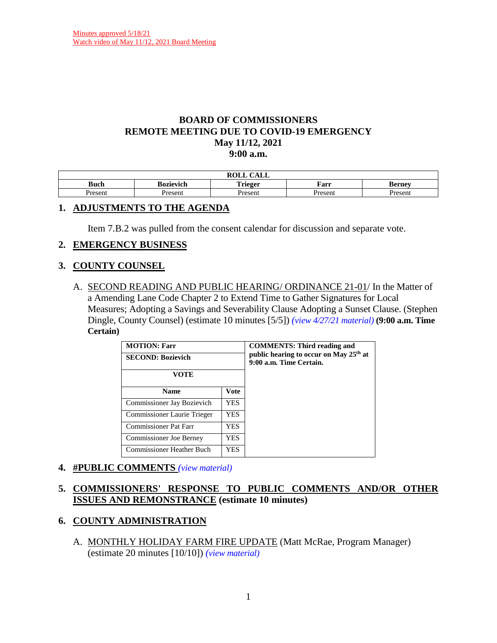### **BOARD OF COMMISSIONERS REMOTE MEETING DUE TO COVID-19 EMERGENCY May 11/12, 2021 9:00 a.m.**

| $\bigcap$ $\bigcap$ $\bigcap$<br>$\mathbf{M}$<br><b>KOLL</b><br>САЫС |                                                                              |        |         |        |  |  |
|----------------------------------------------------------------------|------------------------------------------------------------------------------|--------|---------|--------|--|--|
| Buch                                                                 | <b>. .</b><br>Farr<br>`rieger<br><b>Berney</b><br>Bozievich<br><b>ALLELA</b> |        |         |        |  |  |
| resent                                                               | Present                                                                      | resent | Present | 'resen |  |  |

## **1. ADJUSTMENTS TO THE AGENDA**

Item 7.B.2 was pulled from the consent calendar for discussion and separate vote.

## **2. EMERGENCY BUSINESS**

### **3. COUNTY COUNSEL**

A. SECOND READING AND PUBLIC HEARING/ ORDINANCE 21-01/ In the Matter of a Amending Lane Code Chapter 2 to Extend Time to Gather Signatures for Local Measures; Adopting a Savings and Severability Clause Adopting a Sunset Clause. (Stephen Dingle, County Counsel) (estimate 10 minutes [5/5]) *(view [4/27/21 material\)](http://www.lanecountyor.gov/UserFiles/Servers/Server_3585797/File/Government/BCC/2021/2021_AGENDAS/042721agenda/T.8.B.pdf)* **(9:00 a.m. Time Certain)**

| <b>MOTION: Farr</b><br><b>SECOND: Bozievich</b><br><b>VOTE</b> |      | <b>COMMENTS: Third reading and</b><br>public hearing to occur on May 25th at<br>9:00 a.m. Time Certain. |
|----------------------------------------------------------------|------|---------------------------------------------------------------------------------------------------------|
| <b>Name</b>                                                    | Vote |                                                                                                         |
| Commissioner Jay Bozievich                                     | YES. |                                                                                                         |
| Commissioner Laurie Trieger                                    | YES. |                                                                                                         |
| <b>Commissioner Pat Farr</b>                                   | YES. |                                                                                                         |
| <b>Commissioner Joe Berney</b><br>YES.                         |      |                                                                                                         |
| <b>Commissioner Heather Buch</b>                               | YES  |                                                                                                         |

### **4. #PUBLIC COMMENTS** *(view [material\)](http://www.lanecountyor.gov/UserFiles/Servers/Server_3585797/File/Government/BCC/2021/2021_AGENDAS/051121agenda/T.4.pdf)*

# **5. COMMISSIONERS' RESPONSE TO PUBLIC COMMENTS AND/OR OTHER ISSUES AND REMONSTRANCE (estimate 10 minutes)**

# **6. COUNTY ADMINISTRATION**

A. MONTHLY HOLIDAY FARM FIRE UPDATE (Matt McRae, Program Manager) (estimate 20 minutes [10/10]) *(view [material\)](http://www.lanecountyor.gov/UserFiles/Servers/Server_3585797/File/Government/BCC/2021/2021_AGENDAS/051121agenda/T.6.A.pdf)*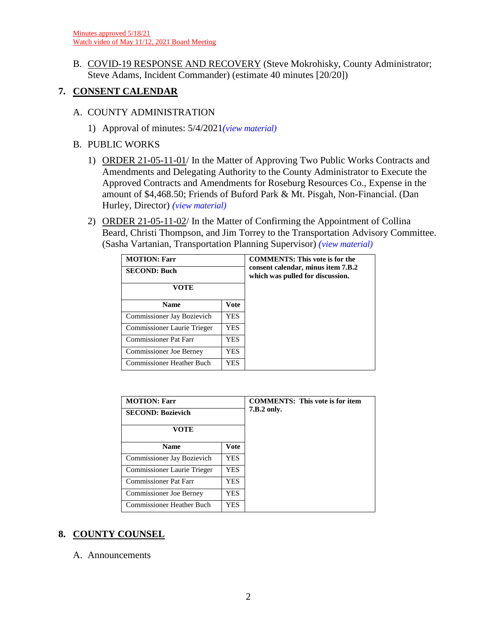B. COVID-19 RESPONSE AND RECOVERY (Steve Mokrohisky, County Administrator; Steve Adams, Incident Commander) (estimate 40 minutes [20/20])

# **7. CONSENT CALENDAR**

- A. COUNTY ADMINISTRATION
	- 1) Approval of minutes: 5/4/2021*(view [material\)](http://www.lanecountyor.gov/UserFiles/Servers/Server_3585797/File/Government/BCC/2021/2021_AGENDAS/051121agenda/T.7.A.1.pdf)*
- B. PUBLIC WORKS
	- 1) ORDER 21-05-11-01/ In the Matter of Approving Two Public Works Contracts and Amendments and Delegating Authority to the County Administrator to Execute the Approved Contracts and Amendments for Roseburg Resources Co., Expense in the amount of \$4,468.50; Friends of Buford Park & Mt. Pisgah, Non-Financial. (Dan Hurley, Director) *(view [material\)](http://www.lanecountyor.gov/UserFiles/Servers/Server_3585797/File/Government/BCC/2021/2021_AGENDAS/051121agenda/T.7.B.1.pdf)*
	- 2) ORDER 21-05-11-02/ In the Matter of Confirming the Appointment of Collina Beard, Christi Thompson, and Jim Torrey to the Transportation Advisory Committee. (Sasha Vartanian, Transportation Planning Supervisor) *(view [material\)](http://www.lanecountyor.gov/UserFiles/Servers/Server_3585797/File/Government/BCC/2021/2021_AGENDAS/051121agenda/T.7.B.2.pdf)*

| <b>MOTION: Farr</b><br><b>SECOND: Buch</b><br>VOTE |             | <b>COMMENTS: This vote is for the</b><br>consent calendar, minus item 7.B.2<br>which was pulled for discussion. |
|----------------------------------------------------|-------------|-----------------------------------------------------------------------------------------------------------------|
| <b>Name</b>                                        | <b>Vote</b> |                                                                                                                 |
| Commissioner Jay Bozievich                         | YES.        |                                                                                                                 |
| Commissioner Laurie Trieger<br>YES.                |             |                                                                                                                 |
| Commissioner Pat Farr<br>YES                       |             |                                                                                                                 |
| <b>Commissioner Joe Berney</b><br>YES              |             |                                                                                                                 |
| <b>Commissioner Heather Buch</b><br>YES            |             |                                                                                                                 |

| <b>MOTION: Farr</b>                     |     |             | <b>COMMENTS:</b> This vote is for item |
|-----------------------------------------|-----|-------------|----------------------------------------|
| <b>SECOND: Bozievich</b>                |     | 7.B.2 only. |                                        |
| VOTE                                    |     |             |                                        |
| <b>Vote</b><br><b>Name</b>              |     |             |                                        |
| Commissioner Jay Bozievich              | YES |             |                                        |
| Commissioner Laurie Trieger             | YES |             |                                        |
| Commissioner Pat Farr                   | YES |             |                                        |
| <b>Commissioner Joe Berney</b><br>YES   |     |             |                                        |
| <b>Commissioner Heather Buch</b><br>YES |     |             |                                        |

# **8. COUNTY COUNSEL**

A. Announcements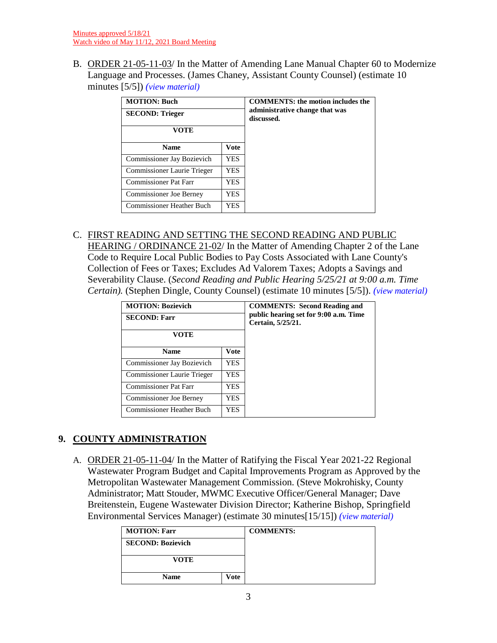B. ORDER 21-05-11-03/ In the Matter of Amending Lane Manual Chapter 60 to Modernize Language and Processes. (James Chaney, Assistant County Counsel) (estimate 10 minutes [5/5]) *(view [material\)](http://www.lanecountyor.gov/UserFiles/Servers/Server_3585797/File/Government/BCC/2021/2021_AGENDAS/051121agenda/T.8.B.pdf)*

| <b>MOTION: Buch</b><br><b>SECOND: Trieger</b><br>VOTE |            | <b>COMMENTS: the motion includes the</b><br>administrative change that was<br>discussed. |
|-------------------------------------------------------|------------|------------------------------------------------------------------------------------------|
| <b>Name</b>                                           | Vote       |                                                                                          |
| <b>Commissioner Jay Bozievich</b>                     | <b>YES</b> |                                                                                          |
| Commissioner Laurie Trieger                           | <b>YES</b> |                                                                                          |
| Commissioner Pat Farr<br><b>YES</b>                   |            |                                                                                          |
| Commissioner Joe Berney<br>YES                        |            |                                                                                          |
| Commissioner Heather Buch<br><b>YES</b>               |            |                                                                                          |

# C. FIRST READING AND SETTING THE SECOND READING AND PUBLIC

HEARING / ORDINANCE 21-02/ In the Matter of Amending Chapter 2 of the Lane Code to Require Local Public Bodies to Pay Costs Associated with Lane County's Collection of Fees or Taxes; Excludes Ad Valorem Taxes; Adopts a Savings and Severability Clause. (*Second Reading and Public Hearing 5/25/21 at 9:00 a.m. Time Certain).* (Stephen Dingle, County Counsel) (estimate 10 minutes [5/5]). *(view [material\)](http://www.lanecountyor.gov/UserFiles/Servers/Server_3585797/File/Government/BCC/2021/2021_AGENDAS/051121agenda/T.8.C.pdf)*

| <b>MOTION: Bozievich</b>            |      | <b>COMMENTS:</b> Second Reading and                        |
|-------------------------------------|------|------------------------------------------------------------|
| <b>SECOND: Farr</b>                 |      | public hearing set for 9:00 a.m. Time<br>Certain, 5/25/21. |
| VOTE                                |      |                                                            |
| <b>Vote</b><br><b>Name</b>          |      |                                                            |
| Commissioner Jay Bozievich          | YES. |                                                            |
| Commissioner Laurie Trieger<br>YES. |      |                                                            |
| Commissioner Pat Farr               | YES. |                                                            |
| Commissioner Joe Berney<br>YES      |      |                                                            |
| Commissioner Heather Buch<br>YES.   |      |                                                            |

# **9. COUNTY ADMINISTRATION**

A. ORDER 21-05-11-04/ In the Matter of Ratifying the Fiscal Year 2021-22 Regional Wastewater Program Budget and Capital Improvements Program as Approved by the Metropolitan Wastewater Management Commission. (Steve Mokrohisky, County Administrator; Matt Stouder, MWMC Executive Officer/General Manager; Dave Breitenstein, Eugene Wastewater Division Director; Katherine Bishop, Springfield Environmental Services Manager) (estimate 30 minutes[15/15]) *(view [material\)](http://www.lanecountyor.gov/UserFiles/Servers/Server_3585797/File/Government/BCC/2021/2021_AGENDAS/051121agenda/T.9.A.pdf)*

| <b>MOTION: Farr</b>      |  | <b>COMMENTS:</b> |
|--------------------------|--|------------------|
| <b>SECOND: Bozievich</b> |  |                  |
| <b>VOTE</b>              |  |                  |
| <b>Name</b><br>Vote      |  |                  |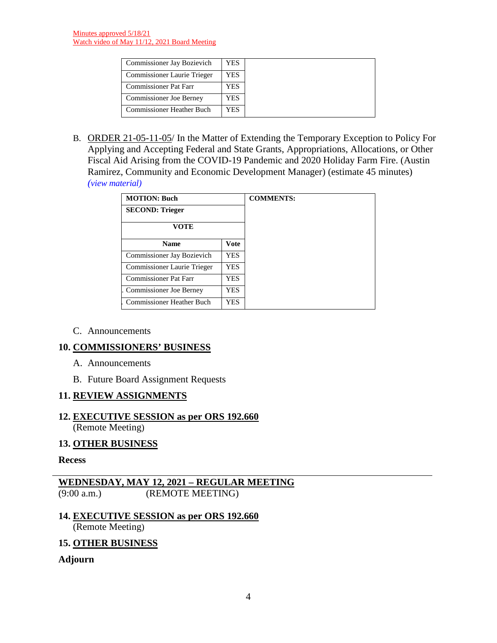| <b>Commissioner Jay Bozievich</b>  | YES. |
|------------------------------------|------|
| <b>Commissioner Laurie Trieger</b> | YES  |
| <b>Commissioner Pat Farr</b>       | YES  |
| <b>Commissioner Joe Berney</b>     | YES  |
| Commissioner Heather Buch          | YES  |

B. ORDER 21-05-11-05/ In the Matter of Extending the Temporary Exception to Policy For Applying and Accepting Federal and State Grants, Appropriations, Allocations, or Other Fiscal Aid Arising from the COVID-19 Pandemic and 2020 Holiday Farm Fire. (Austin Ramirez, Community and Economic Development Manager) (estimate 45 minutes) *(view [material\)](http://www.lanecountyor.gov/UserFiles/Servers/Server_3585797/File/Government/BCC/2021/2021_AGENDAS/051121agenda/T.9.B.pdf)* 

| <b>MOTION: Buch</b>                      |      | <b>COMMENTS:</b> |
|------------------------------------------|------|------------------|
| <b>SECOND: Trieger</b>                   |      |                  |
| <b>VOTE</b>                              |      |                  |
| <b>Vote</b><br><b>Name</b>               |      |                  |
| Commissioner Jay Bozievich               | YES. |                  |
| Commissioner Laurie Trieger              | YES. |                  |
| <b>Commissioner Pat Farr</b><br>YES      |      |                  |
| Commissioner Joe Berney                  | YES  |                  |
| <b>Commissioner Heather Buch</b><br>YES. |      |                  |

C. Announcements

### **10. COMMISSIONERS' BUSINESS**

- A. Announcements
- B. Future Board Assignment Requests

### **11. REVIEW ASSIGNMENTS**

# **12. EXECUTIVE SESSION as per ORS 192.660**

(Remote Meeting)

# **13. OTHER BUSINESS**

#### **Recess**

# **WEDNESDAY, MAY 12, 2021 – REGULAR MEETING** (REMOTE MEETING)

# **14. EXECUTIVE SESSION as per ORS 192.660**

(Remote Meeting)

### **15. OTHER BUSINESS**

### **Adjourn**